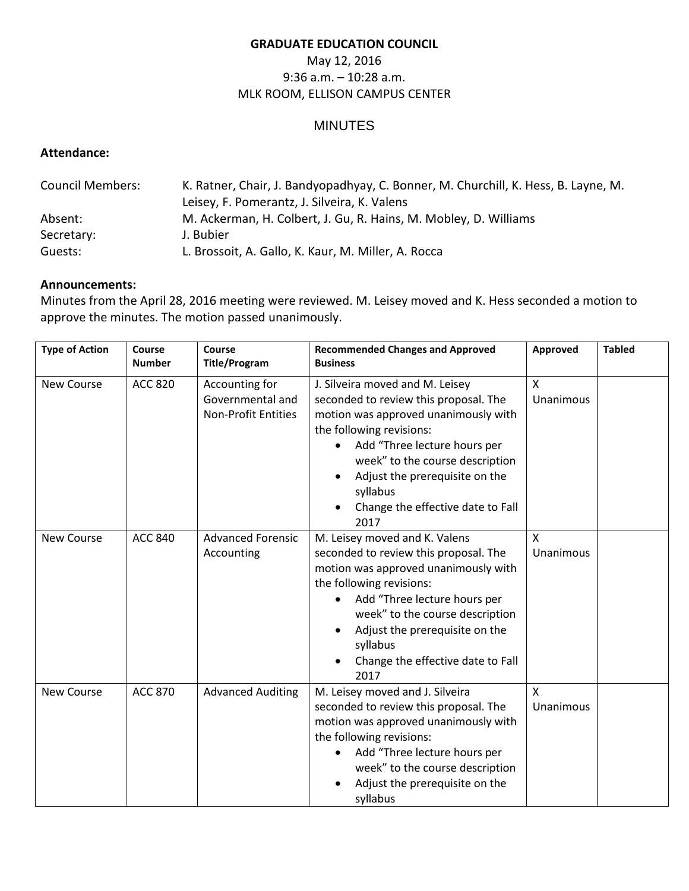#### **GRADUATE EDUCATION COUNCIL**

# May 12, 2016 9:36 a.m. – 10:28 a.m. MLK ROOM, ELLISON CAMPUS CENTER

## MINUTES

## **Attendance:**

| <b>Council Members:</b> | K. Ratner, Chair, J. Bandyopadhyay, C. Bonner, M. Churchill, K. Hess, B. Layne, M. |  |  |
|-------------------------|------------------------------------------------------------------------------------|--|--|
|                         | Leisey, F. Pomerantz, J. Silveira, K. Valens                                       |  |  |
| Absent:                 | M. Ackerman, H. Colbert, J. Gu, R. Hains, M. Mobley, D. Williams                   |  |  |
| Secretary:              | J. Bubier                                                                          |  |  |
| Guests:                 | L. Brossoit, A. Gallo, K. Kaur, M. Miller, A. Rocca                                |  |  |

#### **Announcements:**

Minutes from the April 28, 2016 meeting were reviewed. M. Leisey moved and K. Hess seconded a motion to approve the minutes. The motion passed unanimously.

| <b>Type of Action</b> | Course<br><b>Number</b> | Course<br><b>Title/Program</b>                                   | <b>Recommended Changes and Approved</b><br><b>Business</b>                                                                                                                                                                                                                                                                         | Approved                         | <b>Tabled</b> |
|-----------------------|-------------------------|------------------------------------------------------------------|------------------------------------------------------------------------------------------------------------------------------------------------------------------------------------------------------------------------------------------------------------------------------------------------------------------------------------|----------------------------------|---------------|
| <b>New Course</b>     | <b>ACC 820</b>          | Accounting for<br>Governmental and<br><b>Non-Profit Entities</b> | J. Silveira moved and M. Leisey<br>seconded to review this proposal. The<br>motion was approved unanimously with<br>the following revisions:<br>Add "Three lecture hours per<br>week" to the course description<br>Adjust the prerequisite on the<br>syllabus<br>Change the effective date to Fall<br>2017                         | $\mathsf{x}$<br><b>Unanimous</b> |               |
| <b>New Course</b>     | <b>ACC 840</b>          | <b>Advanced Forensic</b><br>Accounting                           | M. Leisey moved and K. Valens<br>seconded to review this proposal. The<br>motion was approved unanimously with<br>the following revisions:<br>Add "Three lecture hours per<br>$\bullet$<br>week" to the course description<br>Adjust the prerequisite on the<br>$\bullet$<br>syllabus<br>Change the effective date to Fall<br>2017 | X<br><b>Unanimous</b>            |               |
| <b>New Course</b>     | <b>ACC 870</b>          | <b>Advanced Auditing</b>                                         | M. Leisey moved and J. Silveira<br>seconded to review this proposal. The<br>motion was approved unanimously with<br>the following revisions:<br>Add "Three lecture hours per<br>week" to the course description<br>Adjust the prerequisite on the<br>syllabus                                                                      | X<br><b>Unanimous</b>            |               |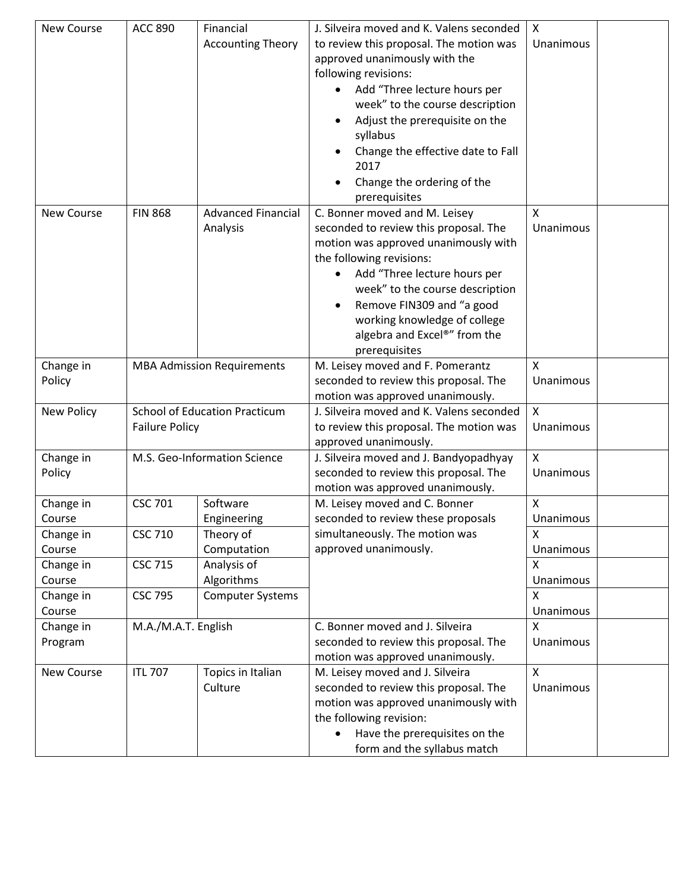| <b>New Course</b> | <b>ACC 890</b>                       | Financial                         | J. Silveira moved and K. Valens seconded | X                         |  |
|-------------------|--------------------------------------|-----------------------------------|------------------------------------------|---------------------------|--|
|                   |                                      | <b>Accounting Theory</b>          | to review this proposal. The motion was  | Unanimous                 |  |
|                   |                                      |                                   | approved unanimously with the            |                           |  |
|                   |                                      |                                   | following revisions:                     |                           |  |
|                   |                                      |                                   | Add "Three lecture hours per             |                           |  |
|                   |                                      |                                   | week" to the course description          |                           |  |
|                   |                                      |                                   | Adjust the prerequisite on the           |                           |  |
|                   |                                      |                                   | syllabus                                 |                           |  |
|                   |                                      |                                   | Change the effective date to Fall        |                           |  |
|                   |                                      |                                   | 2017                                     |                           |  |
|                   |                                      |                                   | Change the ordering of the               |                           |  |
|                   |                                      |                                   | prerequisites                            |                           |  |
| <b>New Course</b> | <b>FIN 868</b>                       | <b>Advanced Financial</b>         | C. Bonner moved and M. Leisey            | X                         |  |
|                   |                                      | Analysis                          | seconded to review this proposal. The    | Unanimous                 |  |
|                   |                                      |                                   | motion was approved unanimously with     |                           |  |
|                   |                                      |                                   | the following revisions:                 |                           |  |
|                   |                                      |                                   | Add "Three lecture hours per             |                           |  |
|                   |                                      |                                   | week" to the course description          |                           |  |
|                   |                                      |                                   | Remove FIN309 and "a good                |                           |  |
|                   |                                      |                                   | working knowledge of college             |                           |  |
|                   |                                      |                                   | algebra and Excel®" from the             |                           |  |
|                   |                                      |                                   | prerequisites                            |                           |  |
| Change in         |                                      | <b>MBA Admission Requirements</b> | M. Leisey moved and F. Pomerantz         | X                         |  |
| Policy            |                                      |                                   | seconded to review this proposal. The    | Unanimous                 |  |
|                   |                                      |                                   | motion was approved unanimously.         |                           |  |
| <b>New Policy</b> | <b>School of Education Practicum</b> |                                   | J. Silveira moved and K. Valens seconded | $\boldsymbol{\mathsf{X}}$ |  |
|                   | <b>Failure Policy</b>                |                                   | to review this proposal. The motion was  | Unanimous                 |  |
|                   |                                      |                                   | approved unanimously.                    |                           |  |
| Change in         |                                      | M.S. Geo-Information Science      | J. Silveira moved and J. Bandyopadhyay   | X                         |  |
| Policy            |                                      |                                   | seconded to review this proposal. The    | Unanimous                 |  |
|                   |                                      |                                   | motion was approved unanimously.         |                           |  |
| Change in         | <b>CSC 701</b>                       | Software                          | M. Leisey moved and C. Bonner            | X                         |  |
| Course            |                                      | Engineering                       | seconded to review these proposals       | Unanimous                 |  |
| Change in         | <b>CSC 710</b>                       | Theory of                         | simultaneously. The motion was           | X                         |  |
| Course            |                                      | Computation                       | approved unanimously.                    | Unanimous                 |  |
| Change in         | <b>CSC 715</b>                       | Analysis of                       |                                          | X                         |  |
| Course            |                                      | Algorithms                        |                                          | Unanimous                 |  |
| Change in         | <b>CSC 795</b>                       | <b>Computer Systems</b>           |                                          | X                         |  |
| Course            |                                      |                                   |                                          | Unanimous                 |  |
| Change in         | M.A./M.A.T. English                  |                                   | C. Bonner moved and J. Silveira          | X                         |  |
| Program           |                                      |                                   | seconded to review this proposal. The    | Unanimous                 |  |
|                   |                                      |                                   | motion was approved unanimously.         |                           |  |
| New Course        | <b>ITL 707</b>                       | Topics in Italian                 | M. Leisey moved and J. Silveira          | X                         |  |
|                   |                                      | Culture                           | seconded to review this proposal. The    | Unanimous                 |  |
|                   |                                      |                                   | motion was approved unanimously with     |                           |  |
|                   |                                      |                                   | the following revision:                  |                           |  |
|                   |                                      |                                   | Have the prerequisites on the            |                           |  |
|                   |                                      |                                   | form and the syllabus match              |                           |  |